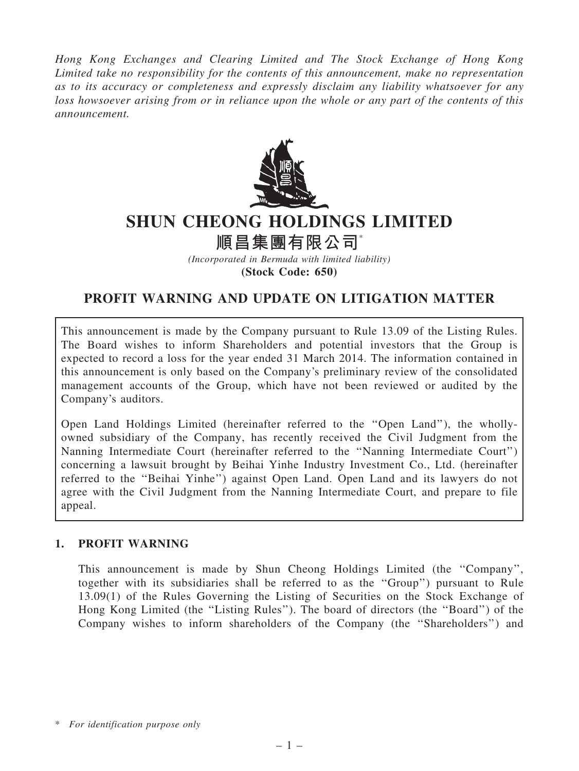Hong Kong Exchanges and Clearing Limited and The Stock Exchange of Hong Kong Limited take no responsibility for the contents of this announcement, make no representation as to its accuracy or completeness and expressly disclaim any liability whatsoever for any loss howsoever arising from or in reliance upon the whole or any part of the contents of this announcement.



# SHUN CHEONG HOLDINGS LIMITED

順昌集團有限公司\*

(Incorporated in Bermuda with limited liability) (Stock Code: 650)

# PROFIT WARNING AND UPDATE ON LITIGATION MATTER

This announcement is made by the Company pursuant to Rule 13.09 of the Listing Rules. The Board wishes to inform Shareholders and potential investors that the Group is expected to record a loss for the year ended 31 March 2014. The information contained in this announcement is only based on the Company's preliminary review of the consolidated management accounts of the Group, which have not been reviewed or audited by the Company's auditors.

Open Land Holdings Limited (hereinafter referred to the ''Open Land''), the whollyowned subsidiary of the Company, has recently received the Civil Judgment from the Nanning Intermediate Court (hereinafter referred to the ''Nanning Intermediate Court'') concerning a lawsuit brought by Beihai Yinhe Industry Investment Co., Ltd. (hereinafter referred to the ''Beihai Yinhe'') against Open Land. Open Land and its lawyers do not agree with the Civil Judgment from the Nanning Intermediate Court, and prepare to file appeal.

## 1. PROFIT WARNING

This announcement is made by Shun Cheong Holdings Limited (the ''Company'', together with its subsidiaries shall be referred to as the ''Group'') pursuant to Rule 13.09(1) of the Rules Governing the Listing of Securities on the Stock Exchange of Hong Kong Limited (the ''Listing Rules''). The board of directors (the ''Board'') of the Company wishes to inform shareholders of the Company (the ''Shareholders'') and

<sup>\*</sup> For identification purpose only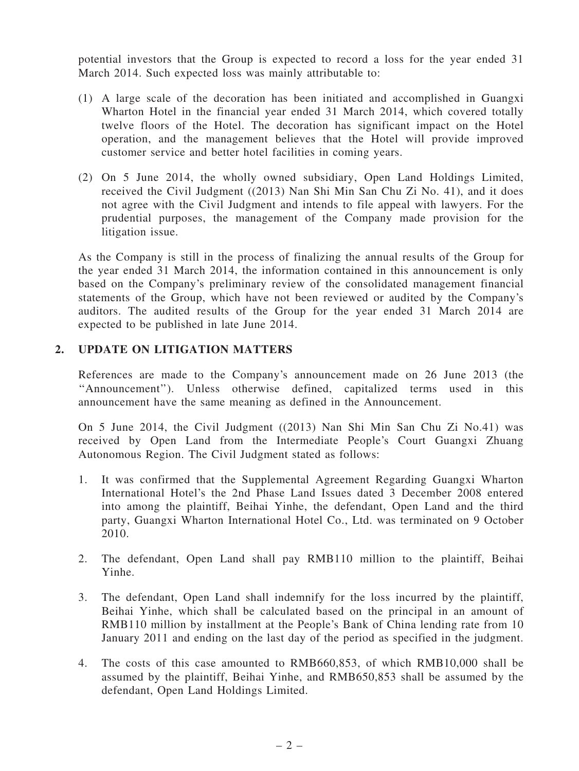potential investors that the Group is expected to record a loss for the year ended 31 March 2014. Such expected loss was mainly attributable to:

- (1) A large scale of the decoration has been initiated and accomplished in Guangxi Wharton Hotel in the financial year ended 31 March 2014, which covered totally twelve floors of the Hotel. The decoration has significant impact on the Hotel operation, and the management believes that the Hotel will provide improved customer service and better hotel facilities in coming years.
- (2) On 5 June 2014, the wholly owned subsidiary, Open Land Holdings Limited, received the Civil Judgment ((2013) Nan Shi Min San Chu Zi No. 41), and it does not agree with the Civil Judgment and intends to file appeal with lawyers. For the prudential purposes, the management of the Company made provision for the litigation issue.

As the Company is still in the process of finalizing the annual results of the Group for the year ended 31 March 2014, the information contained in this announcement is only based on the Company's preliminary review of the consolidated management financial statements of the Group, which have not been reviewed or audited by the Company's auditors. The audited results of the Group for the year ended 31 March 2014 are expected to be published in late June 2014.

#### 2. UPDATE ON LITIGATION MATTERS

References are made to the Company's announcement made on 26 June 2013 (the ''Announcement''). Unless otherwise defined, capitalized terms used in this announcement have the same meaning as defined in the Announcement.

On 5 June 2014, the Civil Judgment ((2013) Nan Shi Min San Chu Zi No.41) was received by Open Land from the Intermediate People's Court Guangxi Zhuang Autonomous Region. The Civil Judgment stated as follows:

- 1. It was confirmed that the Supplemental Agreement Regarding Guangxi Wharton International Hotel's the 2nd Phase Land Issues dated 3 December 2008 entered into among the plaintiff, Beihai Yinhe, the defendant, Open Land and the third party, Guangxi Wharton International Hotel Co., Ltd. was terminated on 9 October 2010.
- 2. The defendant, Open Land shall pay RMB110 million to the plaintiff, Beihai Yinhe.
- 3. The defendant, Open Land shall indemnify for the loss incurred by the plaintiff, Beihai Yinhe, which shall be calculated based on the principal in an amount of RMB110 million by installment at the People's Bank of China lending rate from 10 January 2011 and ending on the last day of the period as specified in the judgment.
- 4. The costs of this case amounted to RMB660,853, of which RMB10,000 shall be assumed by the plaintiff, Beihai Yinhe, and RMB650,853 shall be assumed by the defendant, Open Land Holdings Limited.